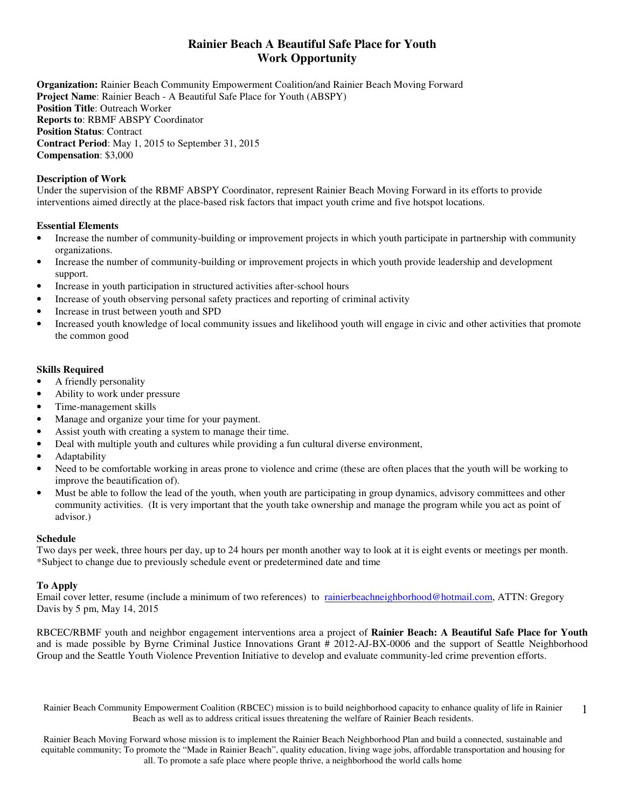# **Rainier Beach A Beautiful Safe Place for Youth Work Opportunity**

**Organization:** Rainier Beach Community Empowerment Coalition/and Rainier Beach Moving Forward **Project Name**: Rainier Beach - A Beautiful Safe Place for Youth (ABSPY) **Position Title**: Outreach Worker **Reports to**: RBMF ABSPY Coordinator **Position Status**: Contract **Contract Period**: May 1, 2015 to September 31, 2015 **Compensation**: \$3,000

### **Description of Work**

Under the supervision of the RBMF ABSPY Coordinator, represent Rainier Beach Moving Forward in its efforts to provide interventions aimed directly at the place-based risk factors that impact youth crime and five hotspot locations.

#### **Essential Elements**

- Increase the number of community-building or improvement projects in which youth participate in partnership with community organizations.
- Increase the number of community-building or improvement projects in which youth provide leadership and development support.
- Increase in youth participation in structured activities after-school hours
- Increase of youth observing personal safety practices and reporting of criminal activity
- Increase in trust between youth and SPD
- Increased youth knowledge of local community issues and likelihood youth will engage in civic and other activities that promote the common good

#### **Skills Required**

- A friendly personality
- Ability to work under pressure
- Time-management skills
- Manage and organize your time for your payment.
- Assist youth with creating a system to manage their time.
- Deal with multiple youth and cultures while providing a fun cultural diverse environment,
- Adaptability
- Need to be comfortable working in areas prone to violence and crime (these are often places that the youth will be working to improve the beautification of).
- Must be able to follow the lead of the youth, when youth are participating in group dynamics, advisory committees and other community activities. (It is very important that the youth take ownership and manage the program while you act as point of advisor.)

#### **Schedule**

Two days per week, three hours per day, up to 24 hours per month another way to look at it is eight events or meetings per month. \*Subject to change due to previously schedule event or predetermined date and time

#### **To Apply**

Email cover letter, resume (include a minimum of two references) to rainierbeachneighborhood@hotmail.com, ATTN: Gregory Davis by 5 pm, May 14, 2015

RBCEC/RBMF youth and neighbor engagement interventions area a project of **Rainier Beach: A Beautiful Safe Place for Youth**  and is made possible by Byrne Criminal Justice Innovations Grant # 2012-AJ-BX-0006 and the support of Seattle Neighborhood Group and the Seattle Youth Violence Prevention Initiative to develop and evaluate community-led crime prevention efforts.

Rainier Beach Community Empowerment Coalition (RBCEC) mission is to build neighborhood capacity to enhance quality of life in Rainier Beach as well as to address critical issues threatening the welfare of Rainier Beach residents. 1

Rainier Beach Moving Forward whose mission is to implement the Rainier Beach Neighborhood Plan and build a connected, sustainable and equitable community; To promote the "Made in Rainier Beach", quality education, living wage jobs, affordable transportation and housing for all. To promote a safe place where people thrive, a neighborhood the world calls home